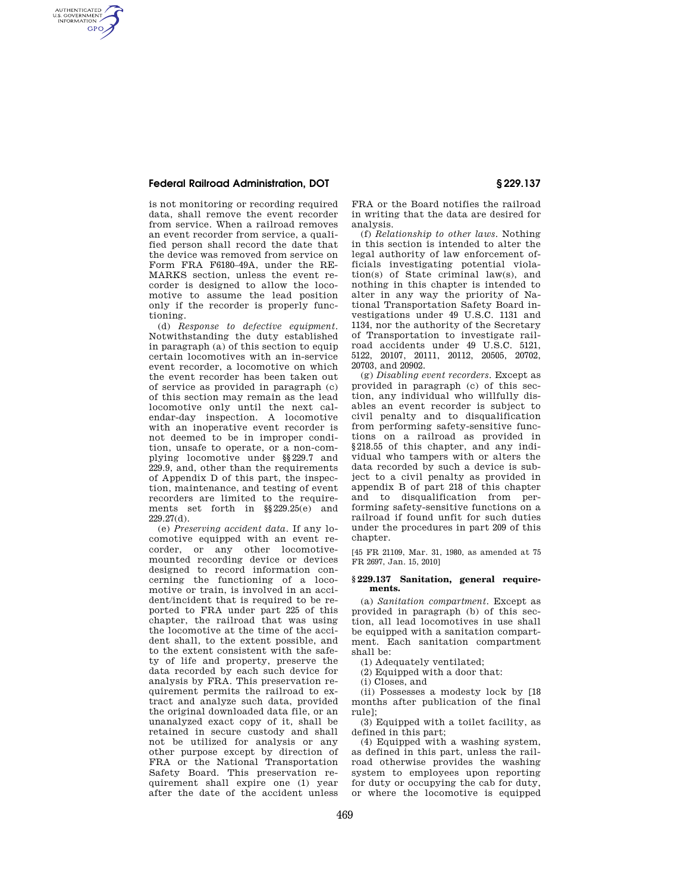## **Federal Railroad Administration, DOT § 229.137**

AUTHENTICATED<br>U.S. GOVERNMENT<br>INFORMATION **GPO** 

> is not monitoring or recording required data, shall remove the event recorder from service. When a railroad removes an event recorder from service, a qualified person shall record the date that the device was removed from service on Form FRA F6180–49A, under the RE-MARKS section, unless the event recorder is designed to allow the locomotive to assume the lead position only if the recorder is properly functioning.

> (d) *Response to defective equipment*. Notwithstanding the duty established in paragraph  $(a)$  of this section to equip certain locomotives with an in-service event recorder, a locomotive on which the event recorder has been taken out of service as provided in paragraph (c) of this section may remain as the lead locomotive only until the next calendar-day inspection. A locomotive with an inoperative event recorder is not deemed to be in improper condition, unsafe to operate, or a non-complying locomotive under §§229.7 and 229.9, and, other than the requirements of Appendix D of this part, the inspection, maintenance, and testing of event recorders are limited to the requirements set forth in §§229.25(e) and  $229.27(d)$ .

> (e) *Preserving accident data*. If any locomotive equipped with an event recorder, or any other locomotivemounted recording device or devices designed to record information concerning the functioning of a locomotive or train, is involved in an accident/incident that is required to be reported to FRA under part 225 of this chapter, the railroad that was using the locomotive at the time of the accident shall, to the extent possible, and to the extent consistent with the safety of life and property, preserve the data recorded by each such device for analysis by FRA. This preservation requirement permits the railroad to extract and analyze such data, provided the original downloaded data file, or an unanalyzed exact copy of it, shall be retained in secure custody and shall not be utilized for analysis or any other purpose except by direction of FRA or the National Transportation Safety Board. This preservation requirement shall expire one (1) year after the date of the accident unless

FRA or the Board notifies the railroad in writing that the data are desired for analysis.

(f) *Relationship to other laws*. Nothing in this section is intended to alter the legal authority of law enforcement officials investigating potential violation(s) of State criminal law(s), and nothing in this chapter is intended to alter in any way the priority of National Transportation Safety Board investigations under 49 U.S.C. 1131 and 1134, nor the authority of the Secretary of Transportation to investigate railroad accidents under 49 U.S.C. 5121, 5122, 20107, 20111, 20112, 20505, 20702, 20703, and 20902.

(g) *Disabling event recorders*. Except as provided in paragraph (c) of this section, any individual who willfully disables an event recorder is subject to civil penalty and to disqualification from performing safety-sensitive functions on a railroad as provided in §218.55 of this chapter, and any individual who tampers with or alters the data recorded by such a device is subject to a civil penalty as provided in appendix B of part 218 of this chapter and to disqualification from performing safety-sensitive functions on a railroad if found unfit for such duties under the procedures in part 209 of this chapter.

[45 FR 21109, Mar. 31, 1980, as amended at 75 FR 2697, Jan. 15, 2010]

#### **§ 229.137 Sanitation, general requirements.**

(a) *Sanitation compartment.* Except as provided in paragraph (b) of this section, all lead locomotives in use shall be equipped with a sanitation compartment. Each sanitation compartment shall be:

(1) Adequately ventilated;

(2) Equipped with a door that:

(i) Closes, and

(ii) Possesses a modesty lock by [18 months after publication of the final rule];

(3) Equipped with a toilet facility, as defined in this part;

(4) Equipped with a washing system, as defined in this part, unless the railroad otherwise provides the washing system to employees upon reporting for duty or occupying the cab for duty, or where the locomotive is equipped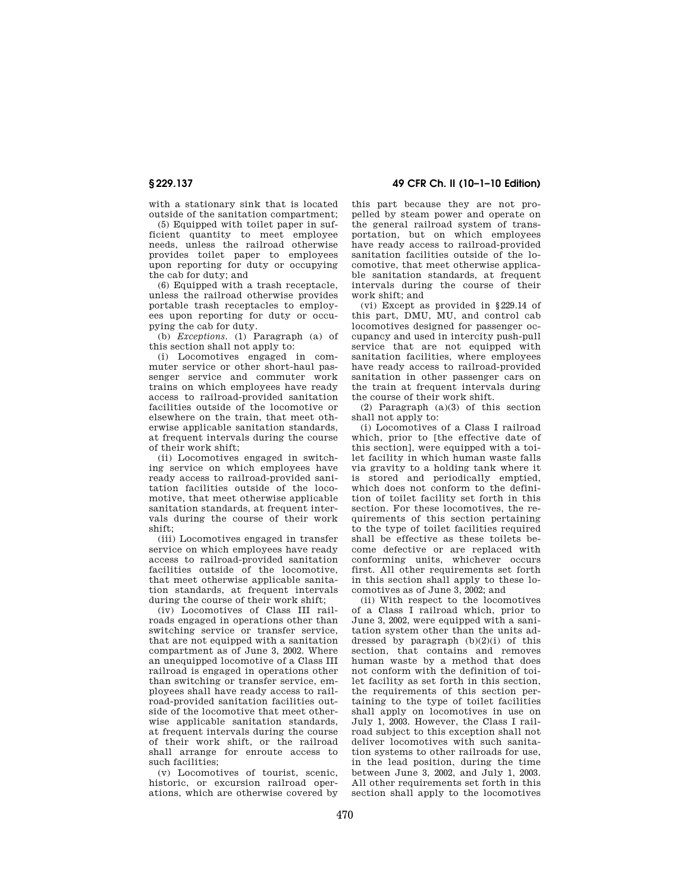with a stationary sink that is located outside of the sanitation compartment;

(5) Equipped with toilet paper in sufficient quantity to meet employee needs, unless the railroad otherwise provides toilet paper to employees upon reporting for duty or occupying the cab for duty; and

(6) Equipped with a trash receptacle, unless the railroad otherwise provides portable trash receptacles to employees upon reporting for duty or occupying the cab for duty.

(b) *Exceptions.* (1) Paragraph (a) of this section shall not apply to:

(i) Locomotives engaged in commuter service or other short-haul passenger service and commuter work trains on which employees have ready access to railroad-provided sanitation facilities outside of the locomotive or elsewhere on the train, that meet otherwise applicable sanitation standards, at frequent intervals during the course of their work shift;

(ii) Locomotives engaged in switching service on which employees have ready access to railroad-provided sanitation facilities outside of the locomotive, that meet otherwise applicable sanitation standards, at frequent intervals during the course of their work shift;

(iii) Locomotives engaged in transfer service on which employees have ready access to railroad-provided sanitation facilities outside of the locomotive, that meet otherwise applicable sanitation standards, at frequent intervals during the course of their work shift;

(iv) Locomotives of Class III railroads engaged in operations other than switching service or transfer service, that are not equipped with a sanitation compartment as of June 3, 2002. Where an unequipped locomotive of a Class III railroad is engaged in operations other than switching or transfer service, employees shall have ready access to railroad-provided sanitation facilities outside of the locomotive that meet otherwise applicable sanitation standards, at frequent intervals during the course of their work shift, or the railroad shall arrange for enroute access to such facilities;

(v) Locomotives of tourist, scenic, historic, or excursion railroad operations, which are otherwise covered by

**§ 229.137 49 CFR Ch. II (10–1–10 Edition)** 

this part because they are not propelled by steam power and operate on the general railroad system of transportation, but on which employees have ready access to railroad-provided sanitation facilities outside of the locomotive, that meet otherwise applicable sanitation standards, at frequent intervals during the course of their work shift; and

(vi) Except as provided in §229.14 of this part, DMU, MU, and control cab locomotives designed for passenger occupancy and used in intercity push-pull service that are not equipped with sanitation facilities, where employees have ready access to railroad-provided sanitation in other passenger cars on the train at frequent intervals during the course of their work shift.

(2) Paragraph (a)(3) of this section shall not apply to:

(i) Locomotives of a Class I railroad which, prior to [the effective date of this section], were equipped with a toilet facility in which human waste falls via gravity to a holding tank where it is stored and periodically emptied, which does not conform to the definition of toilet facility set forth in this section. For these locomotives, the requirements of this section pertaining to the type of toilet facilities required shall be effective as these toilets become defective or are replaced with conforming units, whichever occurs first. All other requirements set forth in this section shall apply to these locomotives as of June 3, 2002; and

(ii) With respect to the locomotives of a Class I railroad which, prior to June 3, 2002, were equipped with a sanitation system other than the units addressed by paragraph  $(b)(2)(i)$  of this section, that contains and removes human waste by a method that does not conform with the definition of toilet facility as set forth in this section, the requirements of this section pertaining to the type of toilet facilities shall apply on locomotives in use on July 1, 2003. However, the Class I railroad subject to this exception shall not deliver locomotives with such sanitation systems to other railroads for use, in the lead position, during the time between June 3, 2002, and July 1, 2003. All other requirements set forth in this section shall apply to the locomotives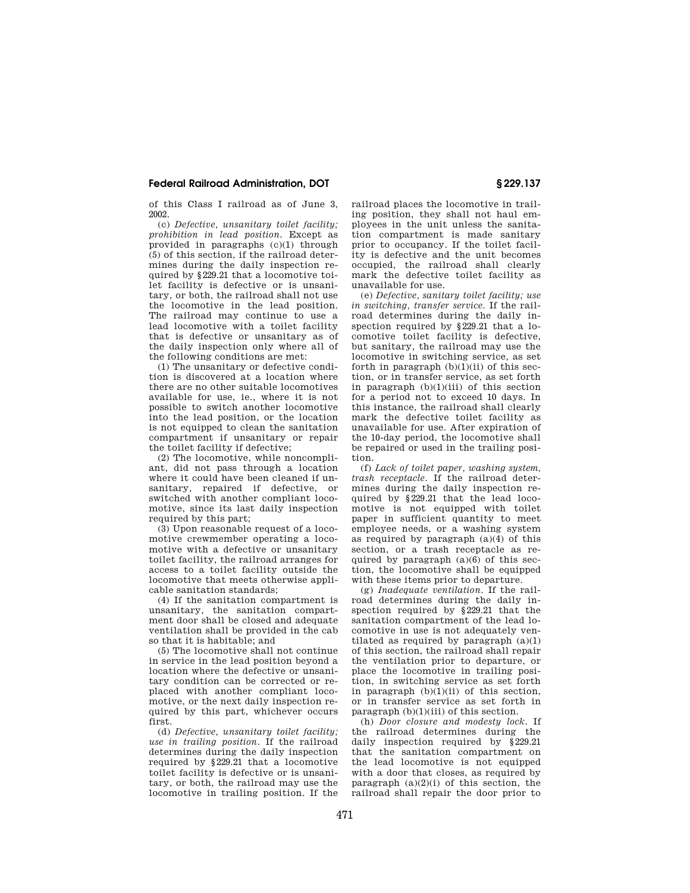### **Federal Railroad Administration, DOT § 229.137**

of this Class I railroad as of June 3, 2002.

(c) *Defective, unsanitary toilet facility; prohibition in lead position.* Except as provided in paragraphs (c)(1) through (5) of this section, if the railroad determines during the daily inspection required by §229.21 that a locomotive toilet facility is defective or is unsanitary, or both, the railroad shall not use the locomotive in the lead position. The railroad may continue to use a lead locomotive with a toilet facility that is defective or unsanitary as of the daily inspection only where all of the following conditions are met:

(1) The unsanitary or defective condition is discovered at a location where there are no other suitable locomotives available for use, ie., where it is not possible to switch another locomotive into the lead position, or the location is not equipped to clean the sanitation compartment if unsanitary or repair the toilet facility if defective;

(2) The locomotive, while noncompliant, did not pass through a location where it could have been cleaned if unsanitary, repaired if defective, or switched with another compliant locomotive, since its last daily inspection required by this part:

(3) Upon reasonable request of a locomotive crewmember operating a locomotive with a defective or unsanitary toilet facility, the railroad arranges for access to a toilet facility outside the locomotive that meets otherwise applicable sanitation standards;

(4) If the sanitation compartment is unsanitary, the sanitation compartment door shall be closed and adequate ventilation shall be provided in the cab so that it is habitable; and

(5) The locomotive shall not continue in service in the lead position beyond a location where the defective or unsanitary condition can be corrected or replaced with another compliant locomotive, or the next daily inspection required by this part, whichever occurs first.

(d) *Defective, unsanitary toilet facility; use in trailing position.* If the railroad determines during the daily inspection required by §229.21 that a locomotive toilet facility is defective or is unsanitary, or both, the railroad may use the locomotive in trailing position. If the railroad places the locomotive in trailing position, they shall not haul employees in the unit unless the sanitation compartment is made sanitary prior to occupancy. If the toilet facility is defective and the unit becomes occupied, the railroad shall clearly mark the defective toilet facility as unavailable for use.

(e) *Defective, sanitary toilet facility; use in switching, transfer service.* If the railroad determines during the daily inspection required by  $\S 229.21$  that a locomotive toilet facility is defective, but sanitary, the railroad may use the locomotive in switching service, as set forth in paragraph  $(b)(1)(ii)$  of this section, or in transfer service, as set forth in paragraph  $(b)(1)(iii)$  of this section for a period not to exceed 10 days. In this instance, the railroad shall clearly mark the defective toilet facility as unavailable for use. After expiration of the 10-day period, the locomotive shall be repaired or used in the trailing position.

(f) *Lack of toilet paper, washing system, trash receptacle.* If the railroad determines during the daily inspection required by §229.21 that the lead locomotive is not equipped with toilet paper in sufficient quantity to meet employee needs, or a washing system as required by paragraph  $(a)(4)$  of this section, or a trash receptacle as required by paragraph  $(a)(6)$  of this section, the locomotive shall be equipped with these items prior to departure.

(g) *Inadequate ventilation.* If the railroad determines during the daily inspection required by §229.21 that the sanitation compartment of the lead locomotive in use is not adequately ventilated as required by paragraph  $(a)(1)$ of this section, the railroad shall repair the ventilation prior to departure, or place the locomotive in trailing position, in switching service as set forth in paragraph (b)(1)(ii) of this section, or in transfer service as set forth in paragraph  $(b)(1)(iii)$  of this section.

(h) *Door closure and modesty lock.* If the railroad determines during the daily inspection required by §229.21 that the sanitation compartment on the lead locomotive is not equipped with a door that closes, as required by paragraph  $(a)(2)(i)$  of this section, the railroad shall repair the door prior to